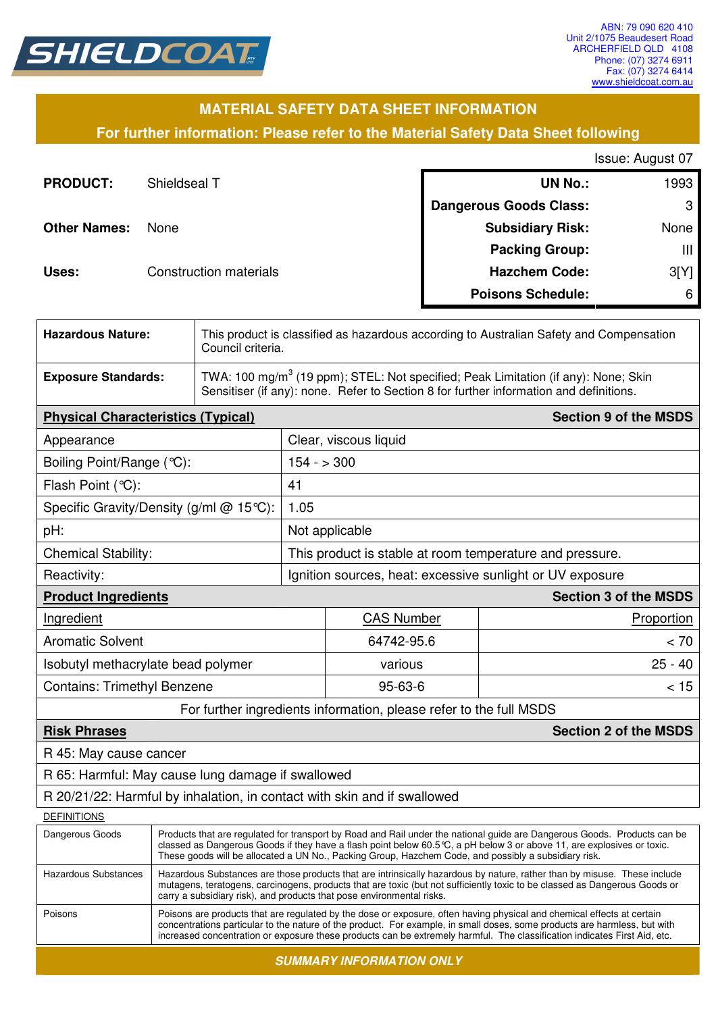

### **MATERIAL SAFETY DATA SHEET INFORMATION**

**For further information: Please refer to the Material Safety Data Sheet following**

Issue: August 07

| <b>PRODUCT:</b>     | Shieldseal T           | <b>UN No.:</b>                | 1993 |
|---------------------|------------------------|-------------------------------|------|
|                     |                        | <b>Dangerous Goods Class:</b> | 3    |
| <b>Other Names:</b> | <b>None</b>            | <b>Subsidiary Risk:</b>       | None |
|                     |                        | <b>Packing Group:</b>         | Ш    |
| Uses:               | Construction materials | <b>Hazchem Code:</b>          | 3[Y] |
|                     |                        | <b>Poisons Schedule:</b>      | 6    |

| <b>Hazardous Nature:</b>                                                 |                                                                                                                                                                                                                                                     | This product is classified as hazardous according to Australian Safety and Compensation<br>Council criteria.                                                                             |                                                                    |                              |  |
|--------------------------------------------------------------------------|-----------------------------------------------------------------------------------------------------------------------------------------------------------------------------------------------------------------------------------------------------|------------------------------------------------------------------------------------------------------------------------------------------------------------------------------------------|--------------------------------------------------------------------|------------------------------|--|
| <b>Exposure Standards:</b>                                               |                                                                                                                                                                                                                                                     | TWA: 100 mg/m <sup>3</sup> (19 ppm); STEL: Not specified; Peak Limitation (if any): None; Skin<br>Sensitiser (if any): none. Refer to Section 8 for further information and definitions. |                                                                    |                              |  |
| <b>Physical Characteristics (Typical)</b>                                |                                                                                                                                                                                                                                                     |                                                                                                                                                                                          | <b>Section 9 of the MSDS</b>                                       |                              |  |
| Clear, viscous liquid<br>Appearance                                      |                                                                                                                                                                                                                                                     |                                                                                                                                                                                          |                                                                    |                              |  |
| Boiling Point/Range (°C):                                                |                                                                                                                                                                                                                                                     |                                                                                                                                                                                          | $154 - 300$                                                        |                              |  |
| Flash Point (°C):                                                        |                                                                                                                                                                                                                                                     | 41                                                                                                                                                                                       |                                                                    |                              |  |
|                                                                          | Specific Gravity/Density (g/ml @ 15°C):                                                                                                                                                                                                             | 1.05                                                                                                                                                                                     |                                                                    |                              |  |
| pH:                                                                      |                                                                                                                                                                                                                                                     |                                                                                                                                                                                          | Not applicable                                                     |                              |  |
| <b>Chemical Stability:</b>                                               |                                                                                                                                                                                                                                                     |                                                                                                                                                                                          | This product is stable at room temperature and pressure.           |                              |  |
| Reactivity:                                                              |                                                                                                                                                                                                                                                     |                                                                                                                                                                                          | Ignition sources, heat: excessive sunlight or UV exposure          |                              |  |
| <b>Product Ingredients</b>                                               |                                                                                                                                                                                                                                                     |                                                                                                                                                                                          |                                                                    | <b>Section 3 of the MSDS</b> |  |
| Ingredient                                                               |                                                                                                                                                                                                                                                     |                                                                                                                                                                                          | <b>CAS Number</b>                                                  | Proportion                   |  |
| <b>Aromatic Solvent</b>                                                  |                                                                                                                                                                                                                                                     |                                                                                                                                                                                          | 64742-95.6                                                         | < 70                         |  |
| Isobutyl methacrylate bead polymer                                       |                                                                                                                                                                                                                                                     |                                                                                                                                                                                          | various                                                            | $25 - 40$                    |  |
| <b>Contains: Trimethyl Benzene</b>                                       |                                                                                                                                                                                                                                                     |                                                                                                                                                                                          | $95 - 63 - 6$                                                      | < 15                         |  |
|                                                                          |                                                                                                                                                                                                                                                     |                                                                                                                                                                                          | For further ingredients information, please refer to the full MSDS |                              |  |
| <b>Risk Phrases</b>                                                      |                                                                                                                                                                                                                                                     |                                                                                                                                                                                          |                                                                    | <b>Section 2 of the MSDS</b> |  |
| R 45: May cause cancer                                                   |                                                                                                                                                                                                                                                     |                                                                                                                                                                                          |                                                                    |                              |  |
|                                                                          | R 65: Harmful: May cause lung damage if swallowed                                                                                                                                                                                                   |                                                                                                                                                                                          |                                                                    |                              |  |
| R 20/21/22: Harmful by inhalation, in contact with skin and if swallowed |                                                                                                                                                                                                                                                     |                                                                                                                                                                                          |                                                                    |                              |  |
| DEFINITIONS                                                              |                                                                                                                                                                                                                                                     |                                                                                                                                                                                          |                                                                    |                              |  |
| Dangerous Goods                                                          | Products that are regulated for transport by Road and Rail under the national guide are Dangerous Goods. Products can be<br>classed as Dangerous Goods if they have a flash point below 60.5 °C, a pH below 3 or above 11, are explosives or toxic. |                                                                                                                                                                                          |                                                                    |                              |  |

These goods will be allocated a UN No., Packing Group, Hazchem Code, and possibly a subsidiary risk. Hazardous Substances Hazardous Substances are those products that are intrinsically hazardous by nature, rather than by misuse. These include mutagens, teratogens, carcinogens, products that are toxic (but not sufficiently toxic to be classed as Dangerous Goods or carry a subsidiary risk), and products that pose environmental risks. Poisons Poisons are products that are regulated by the dose or exposure, often having physical and chemical effects at certain concentrations particular to the nature of the product. For example, in small doses, some products are harmless, but with increased concentration or exposure these products can be extremely harmful. The classification indicates First Aid, etc.

**SUMMARY INFORMATION ONLY**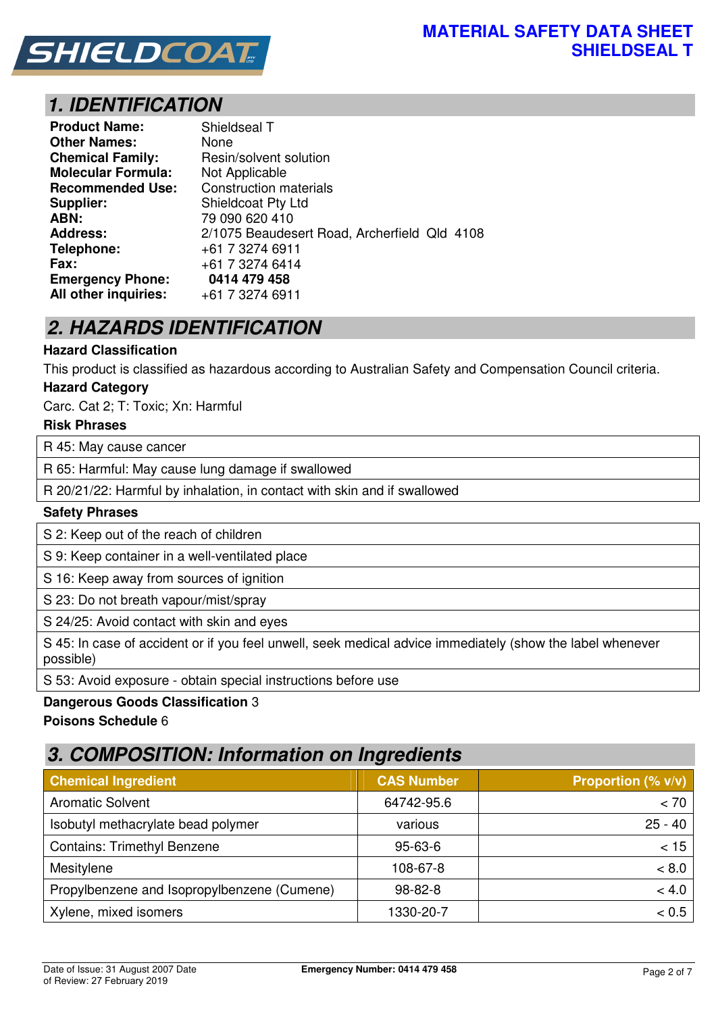

# **1. IDENTIFICATION**

| <b>Product Name:</b>      | Shieldseal T                                 |
|---------------------------|----------------------------------------------|
| <b>Other Names:</b>       | None                                         |
| <b>Chemical Family:</b>   | Resin/solvent solution                       |
| <b>Molecular Formula:</b> | Not Applicable                               |
| <b>Recommended Use:</b>   | <b>Construction materials</b>                |
| Supplier:                 | <b>Shieldcoat Pty Ltd</b>                    |
| ABN:                      | 79 090 620 410                               |
| <b>Address:</b>           | 2/1075 Beaudesert Road, Archerfield Qld 4108 |
| Telephone:                | +61 7 3274 6911                              |
| Fax:                      | +61 7 3274 6414                              |
| <b>Emergency Phone:</b>   | 0414 479 458                                 |
| All other inquiries:      | +61 7 3274 6911                              |

# **2. HAZARDS IDENTIFICATION**

#### **Hazard Classification**

This product is classified as hazardous according to Australian Safety and Compensation Council criteria.

#### **Hazard Category**

Carc. Cat 2; T: Toxic; Xn: Harmful

#### **Risk Phrases**

R 45: May cause cancer

R 65: Harmful: May cause lung damage if swallowed

R 20/21/22: Harmful by inhalation, in contact with skin and if swallowed

#### **Safety Phrases**

S 2: Keep out of the reach of children

S 9: Keep container in a well-ventilated place

S 16: Keep away from sources of ignition

S 23: Do not breath vapour/mist/spray

S 24/25: Avoid contact with skin and eyes

S 45: In case of accident or if you feel unwell, seek medical advice immediately (show the label whenever possible)

S 53: Avoid exposure - obtain special instructions before use

#### **Dangerous Goods Classification** 3

#### **Poisons Schedule** 6

## **3. COMPOSITION: Information on Ingredients**

| <b>Chemical Ingredient</b>                  | <b>CAS Number</b> | <b>Proportion (% v/v)</b> |
|---------------------------------------------|-------------------|---------------------------|
| <b>Aromatic Solvent</b>                     | 64742-95.6        | < 70                      |
| Isobutyl methacrylate bead polymer          | various           | $25 - 40$                 |
| <b>Contains: Trimethyl Benzene</b>          | $95 - 63 - 6$     | < 15                      |
| Mesitylene                                  | 108-67-8          | < 8.0                     |
| Propylbenzene and Isopropylbenzene (Cumene) | $98 - 82 - 8$     | < 4.0                     |
| Xylene, mixed isomers                       | 1330-20-7         | < 0.5                     |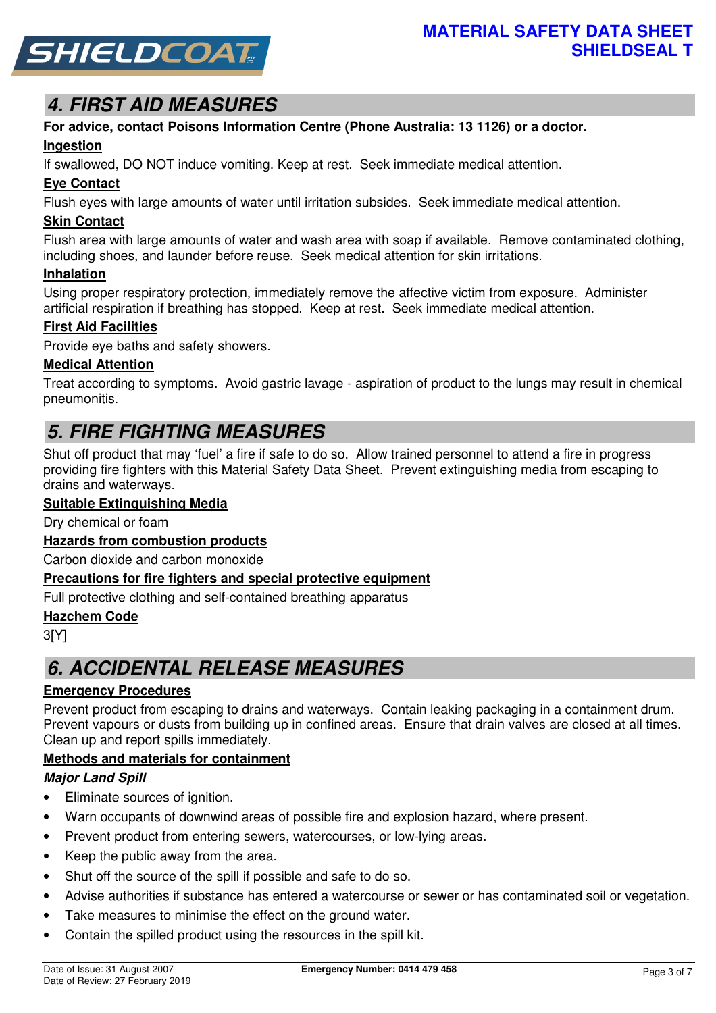

# **4. FIRST AID MEASURES**

# **For advice, contact Poisons Information Centre (Phone Australia: 13 1126) or a doctor.**

#### **Ingestion**

If swallowed, DO NOT induce vomiting. Keep at rest. Seek immediate medical attention.

#### **Eye Contact**

Flush eyes with large amounts of water until irritation subsides. Seek immediate medical attention.

#### **Skin Contact**

Flush area with large amounts of water and wash area with soap if available. Remove contaminated clothing, including shoes, and launder before reuse. Seek medical attention for skin irritations.

#### **Inhalation**

Using proper respiratory protection, immediately remove the affective victim from exposure. Administer artificial respiration if breathing has stopped. Keep at rest. Seek immediate medical attention.

#### **First Aid Facilities**

Provide eye baths and safety showers.

#### **Medical Attention**

Treat according to symptoms. Avoid gastric lavage - aspiration of product to the lungs may result in chemical pneumonitis.

# **5. FIRE FIGHTING MEASURES**

Shut off product that may 'fuel' a fire if safe to do so. Allow trained personnel to attend a fire in progress providing fire fighters with this Material Safety Data Sheet. Prevent extinguishing media from escaping to drains and waterways.

#### **Suitable Extinguishing Media**

Dry chemical or foam

#### **Hazards from combustion products**

Carbon dioxide and carbon monoxide

#### **Precautions for fire fighters and special protective equipment**

Full protective clothing and self-contained breathing apparatus

#### **Hazchem Code**

3[Y]

## **6. ACCIDENTAL RELEASE MEASURES**

#### **Emergency Procedures**

Prevent product from escaping to drains and waterways. Contain leaking packaging in a containment drum. Prevent vapours or dusts from building up in confined areas. Ensure that drain valves are closed at all times. Clean up and report spills immediately.

#### **Methods and materials for containment**

#### **Major Land Spill**

- Eliminate sources of ignition.
- Warn occupants of downwind areas of possible fire and explosion hazard, where present.
- Prevent product from entering sewers, watercourses, or low-lying areas.
- Keep the public away from the area.
- Shut off the source of the spill if possible and safe to do so.
- Advise authorities if substance has entered a watercourse or sewer or has contaminated soil or vegetation.
- Take measures to minimise the effect on the ground water.
- Contain the spilled product using the resources in the spill kit.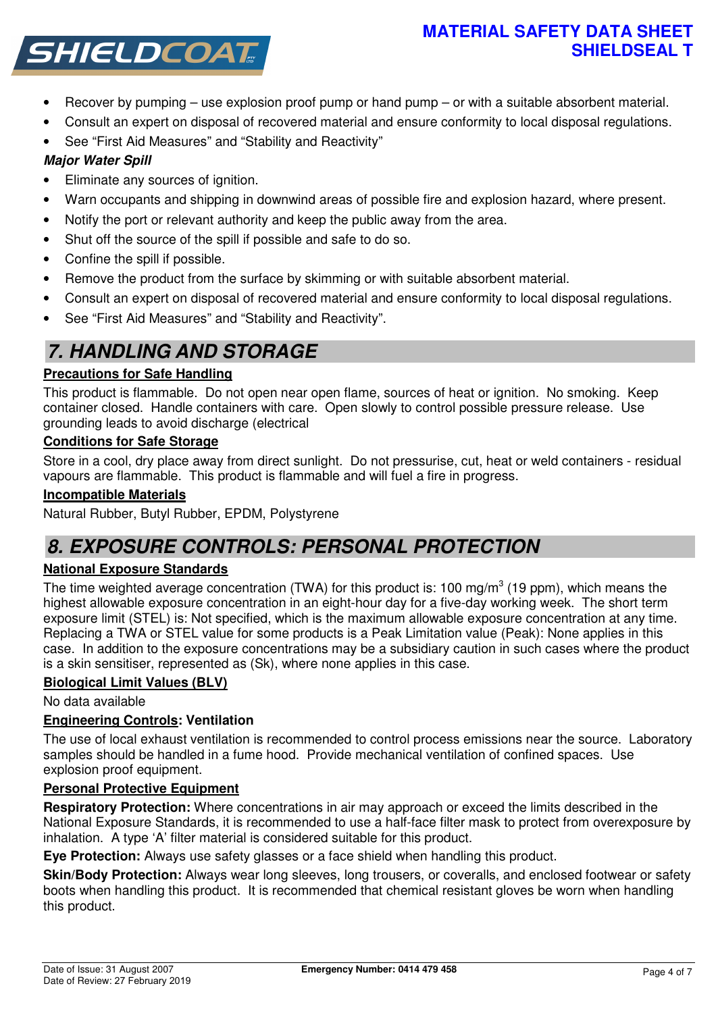### **MATERIAL SAFETY DATA SHEET SHIELDSEAL T**



- Recover by pumping use explosion proof pump or hand pump or with a suitable absorbent material.
- Consult an expert on disposal of recovered material and ensure conformity to local disposal regulations.
- See "First Aid Measures" and "Stability and Reactivity"

### **Major Water Spill**

- Eliminate any sources of ignition.
- Warn occupants and shipping in downwind areas of possible fire and explosion hazard, where present.
- Notify the port or relevant authority and keep the public away from the area.
- Shut off the source of the spill if possible and safe to do so.
- Confine the spill if possible.
- Remove the product from the surface by skimming or with suitable absorbent material.
- Consult an expert on disposal of recovered material and ensure conformity to local disposal regulations.
- See "First Aid Measures" and "Stability and Reactivity".

# **7. HANDLING AND STORAGE**

### **Precautions for Safe Handling**

This product is flammable. Do not open near open flame, sources of heat or ignition. No smoking. Keep container closed. Handle containers with care. Open slowly to control possible pressure release. Use grounding leads to avoid discharge (electrical

#### **Conditions for Safe Storage**

Store in a cool, dry place away from direct sunlight. Do not pressurise, cut, heat or weld containers - residual vapours are flammable. This product is flammable and will fuel a fire in progress.

#### **Incompatible Materials**

Natural Rubber, Butyl Rubber, EPDM, Polystyrene

## **8. EXPOSURE CONTROLS: PERSONAL PROTECTION**

#### **National Exposure Standards**

The time weighted average concentration (TWA) for this product is: 100 mg/m<sup>3</sup> (19 ppm), which means the highest allowable exposure concentration in an eight-hour day for a five-day working week. The short term exposure limit (STEL) is: Not specified, which is the maximum allowable exposure concentration at any time. Replacing a TWA or STEL value for some products is a Peak Limitation value (Peak): None applies in this case. In addition to the exposure concentrations may be a subsidiary caution in such cases where the product is a skin sensitiser, represented as (Sk), where none applies in this case.

#### **Biological Limit Values (BLV)**

No data available

#### **Engineering Controls: Ventilation**

The use of local exhaust ventilation is recommended to control process emissions near the source. Laboratory samples should be handled in a fume hood. Provide mechanical ventilation of confined spaces. Use explosion proof equipment.

#### **Personal Protective Equipment**

**Respiratory Protection:** Where concentrations in air may approach or exceed the limits described in the National Exposure Standards, it is recommended to use a half-face filter mask to protect from overexposure by inhalation. A type 'A' filter material is considered suitable for this product.

**Eye Protection:** Always use safety glasses or a face shield when handling this product.

**Skin/Body Protection:** Always wear long sleeves, long trousers, or coveralls, and enclosed footwear or safety boots when handling this product. It is recommended that chemical resistant gloves be worn when handling this product.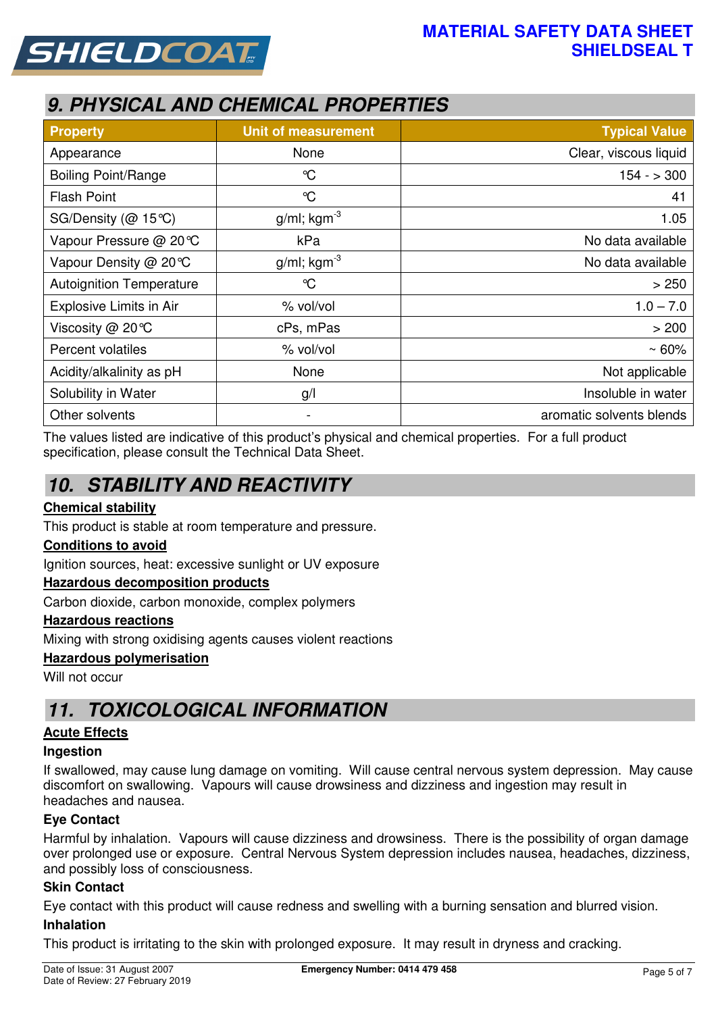



# **9. PHYSICAL AND CHEMICAL PROPERTIES**

| <b>Property</b>                 | <b>Unit of measurement</b> | <b>Typical Value</b>     |
|---------------------------------|----------------------------|--------------------------|
| Appearance                      | None                       | Clear, viscous liquid    |
| <b>Boiling Point/Range</b>      | $\mathrm{C}$               | $154 - 300$              |
| <b>Flash Point</b>              | $\mathrm{C}$               | 41                       |
| SG/Density ( $@$ 15°C)          | $g/ml$ ; kgm <sup>-3</sup> | 1.05                     |
| Vapour Pressure @ 20℃           | kPa                        | No data available        |
| Vapour Density @ 20 °C          | $g/ml$ ; kgm <sup>-3</sup> | No data available        |
| <b>Autoignition Temperature</b> | $\mathrm{C}$               | > 250                    |
| Explosive Limits in Air         | % vol/vol                  | $1.0 - 7.0$              |
| Viscosity @ 20°C                | cPs, mPas                  | > 200                    |
| Percent volatiles               | % vol/vol                  | $~50\%$                  |
| Acidity/alkalinity as pH        | None                       | Not applicable           |
| Solubility in Water             | g/                         | Insoluble in water       |
| Other solvents                  | $\blacksquare$             | aromatic solvents blends |

The values listed are indicative of this product's physical and chemical properties. For a full product specification, please consult the Technical Data Sheet.

# **10. STABILITY AND REACTIVITY**

#### **Chemical stability**

This product is stable at room temperature and pressure.

#### **Conditions to avoid**

Ignition sources, heat: excessive sunlight or UV exposure

#### **Hazardous decomposition products**

Carbon dioxide, carbon monoxide, complex polymers

#### **Hazardous reactions**

Mixing with strong oxidising agents causes violent reactions

#### **Hazardous polymerisation**

Will not occur

## **11. TOXICOLOGICAL INFORMATION**

#### **Acute Effects**

#### **Ingestion**

If swallowed, may cause lung damage on vomiting. Will cause central nervous system depression. May cause discomfort on swallowing. Vapours will cause drowsiness and dizziness and ingestion may result in headaches and nausea.

#### **Eye Contact**

Harmful by inhalation. Vapours will cause dizziness and drowsiness. There is the possibility of organ damage over prolonged use or exposure. Central Nervous System depression includes nausea, headaches, dizziness, and possibly loss of consciousness.

#### **Skin Contact**

Eye contact with this product will cause redness and swelling with a burning sensation and blurred vision.

#### **Inhalation**

This product is irritating to the skin with prolonged exposure. It may result in dryness and cracking.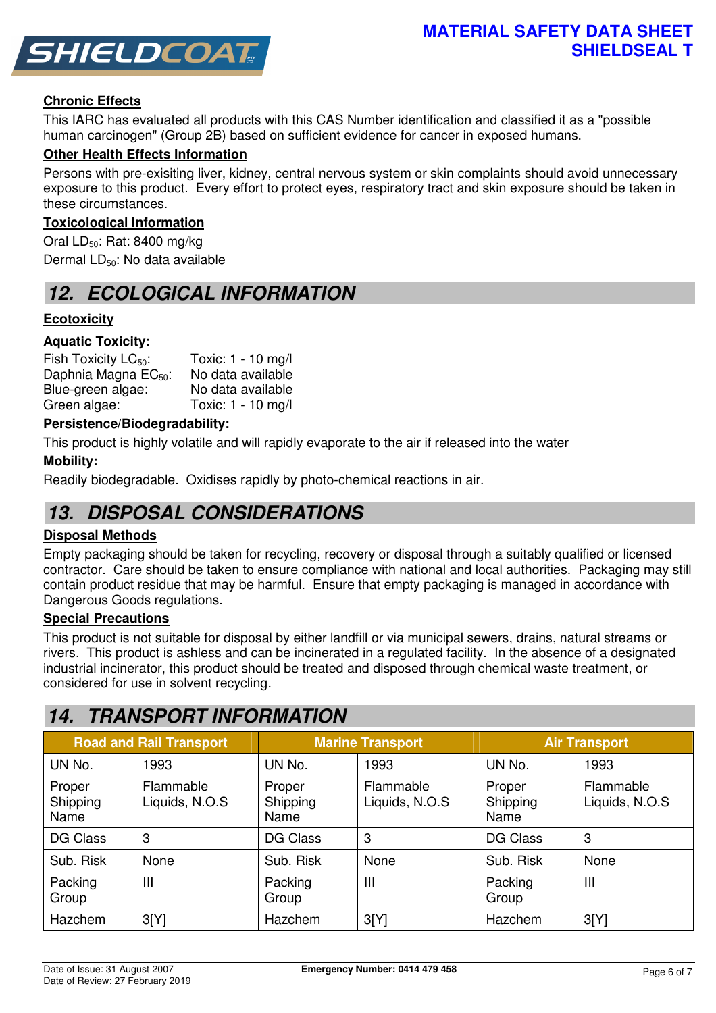

#### **Chronic Effects**

This IARC has evaluated all products with this CAS Number identification and classified it as a "possible human carcinogen" (Group 2B) based on sufficient evidence for cancer in exposed humans.

#### **Other Health Effects Information**

Persons with pre-exisiting liver, kidney, central nervous system or skin complaints should avoid unnecessary exposure to this product. Every effort to protect eyes, respiratory tract and skin exposure should be taken in these circumstances.

#### **Toxicological Information**

Oral  $LD_{50}$ : Rat: 8400 mg/kg Dermal LD<sub>50</sub>: No data available

## **12. ECOLOGICAL INFORMATION**

#### **Ecotoxicity**

#### **Aquatic Toxicity:**

| Fish Toxicity $LC_{50}$ :        | Toxic: 1 - 10 mg/l |
|----------------------------------|--------------------|
| Daphnia Magna EC <sub>50</sub> : | No data available  |
| Blue-green algae:                | No data available  |
| Green algae:                     | Toxic: 1 - 10 mg/l |

#### **Persistence/Biodegradability:**

This product is highly volatile and will rapidly evaporate to the air if released into the water

#### **Mobility:**

Readily biodegradable. Oxidises rapidly by photo-chemical reactions in air.

## **13. DISPOSAL CONSIDERATIONS**

#### **Disposal Methods**

Empty packaging should be taken for recycling, recovery or disposal through a suitably qualified or licensed contractor. Care should be taken to ensure compliance with national and local authorities. Packaging may still contain product residue that may be harmful. Ensure that empty packaging is managed in accordance with Dangerous Goods regulations.

#### **Special Precautions**

This product is not suitable for disposal by either landfill or via municipal sewers, drains, natural streams or rivers. This product is ashless and can be incinerated in a regulated facility. In the absence of a designated industrial incinerator, this product should be treated and disposed through chemical waste treatment, or considered for use in solvent recycling.

### **14. TRANSPORT INFORMATION**

| <b>Road and Rail Transport</b> |                             | <b>Marine Transport</b>    |                             | <b>Air Transport</b>       |                             |
|--------------------------------|-----------------------------|----------------------------|-----------------------------|----------------------------|-----------------------------|
| UN No.                         | 1993                        | UN No.                     | 1993                        | UN No.                     | 1993                        |
| Proper<br>Shipping<br>Name     | Flammable<br>Liquids, N.O.S | Proper<br>Shipping<br>Name | Flammable<br>Liquids, N.O.S | Proper<br>Shipping<br>Name | Flammable<br>Liquids, N.O.S |
| <b>DG Class</b>                | 3                           | <b>DG Class</b>            | 3                           | <b>DG Class</b>            | 3                           |
| Sub. Risk                      | None                        | Sub. Risk                  | None                        | Sub. Risk                  | None                        |
| Packing<br>Group               | III                         | Packing<br>Group           | $\mathbf{III}$              | Packing<br>Group           | $\mathbf{III}$              |
| Hazchem                        | 3[Y]                        | Hazchem                    | 3[Y]                        | Hazchem                    | 3[Y]                        |